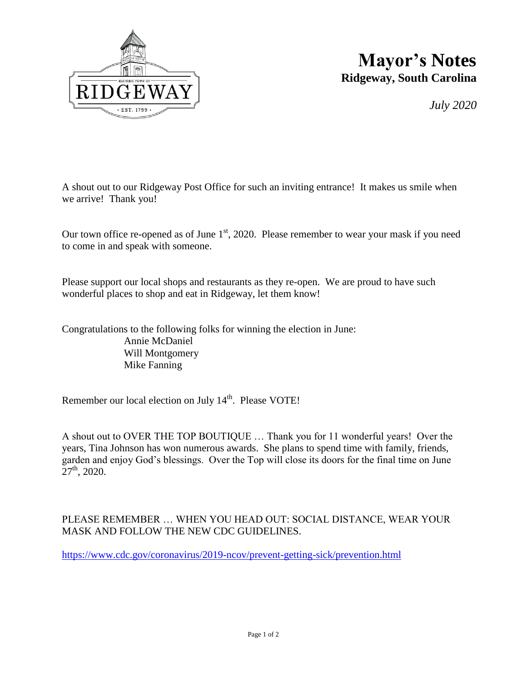

## **Mayor's Notes Ridgeway, South Carolina**

*July 2020*

A shout out to our Ridgeway Post Office for such an inviting entrance! It makes us smile when we arrive! Thank you!

Our town office re-opened as of June  $1<sup>st</sup>$ , 2020. Please remember to wear your mask if you need to come in and speak with someone.

Please support our local shops and restaurants as they re-open. We are proud to have such wonderful places to shop and eat in Ridgeway, let them know!

Congratulations to the following folks for winning the election in June: Annie McDaniel Will Montgomery Mike Fanning

Remember our local election on July 14<sup>th</sup>. Please VOTE!

A shout out to OVER THE TOP BOUTIQUE … Thank you for 11 wonderful years! Over the years, Tina Johnson has won numerous awards. She plans to spend time with family, friends, garden and enjoy God's blessings. Over the Top will close its doors for the final time on June  $27<sup>th</sup>$ , 2020.

## PLEASE REMEMBER … WHEN YOU HEAD OUT: SOCIAL DISTANCE, WEAR YOUR MASK AND FOLLOW THE NEW CDC GUIDELINES.

<https://www.cdc.gov/coronavirus/2019-ncov/prevent-getting-sick/prevention.html>